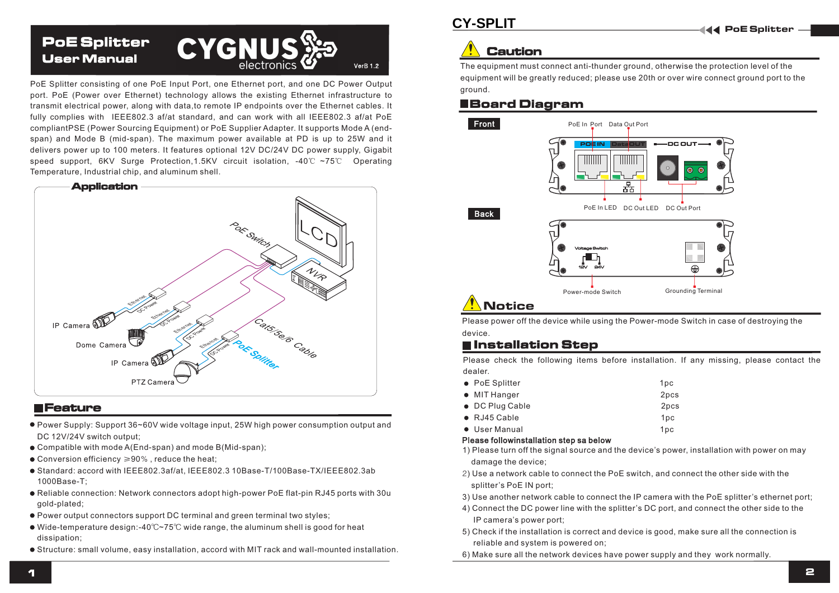

PoE Splitter consisting of one PoE Input Port, one Ethernet port, and one DC Power Output port. PoE (Power over Ethernet) technology allows the existing Ethernet infrastructure to transmit electrical power, along with data,to remote IP endpoints over the Ethernet cables. It fully complies with IEEE802.3 af/at standard, and can work with all IEEE802.3 af/at PoE compliantPSE (Power Sourcing Equipment) or PoE Supplier Adapter. It supports Mode A (endspan) and Mode B (mid-span). The maximum power available at PD is up to 25W and it delivers power up to 100 meters. It features optional 12V DC/24V DC power supply, Gigabit speed support, 6KV Surge Protection,1.5KV circuit isolation, -40℃ ~75℃ Operating Temperature, Industrial chip, and aluminum shell.



#### **E** Feature

- Power Supply: Support 36~60V wide voltage input, 25W high power consumption output and DC 12V/24V switch output:
- Compatible with mode A(End-span) and mode B(Mid-span);
- Conversion efficiency ≥90% , reduce the heat;
- Standard: accord with IEEE802.3af/at, IEEE802.3 10Base-T/100Base-TX/IEEE802.3ab 1000Base-T;
- Reliable connection: Network connectors adopt high-power PoE flat-pin RJ45 ports with 30u gold-plated;
- Power output connectors support DC terminal and green terminal two styles;
- Wide-temperature design:-40℃~75℃ wide range, the aluminum shell is good for heat dissipation;
- Structure: small volume, easy installation, accord with MIT rack and wall-mounted installation.

# Caution

The equipment must connect anti-thunder ground, otherwise the protection level of the equipment will be greatly reduced; please use 20th or over wire connect ground port to the ground.

#### Board Diagram



Please power off the device while using the Power-mode Switch in case of destroying the device.

#### **E** Installation Step

Please check the following items before installation. If any missing, please contact the dealer.

- PoE Splitter 1pc • MIT Hanger 2pcs ● DC Plug Cable 2pcs  $\bullet$  RJ45 Cable  $\bullet$  1pc
- User Manual 1pc

#### Please followinstallation step sa below

- 1) Please turn off the signal source and the device's power, installation with power on may damage the device;
- 2) Use a network cable to connect the PoE switch, and connect the other side with the splitter's PoE IN port;
- 3) Use another network cable to connect the IP camera with the PoE splitter's ethernet port;
- 4) Connect the DC power line with the splitter's DC port, and connect the other side to the IP camera's power port;
- 5) Check if the installation is correct and device is good, make sure all the connection is reliable and system is powered on;
- 6) Make sure all the network devices have power supply and they work normally.